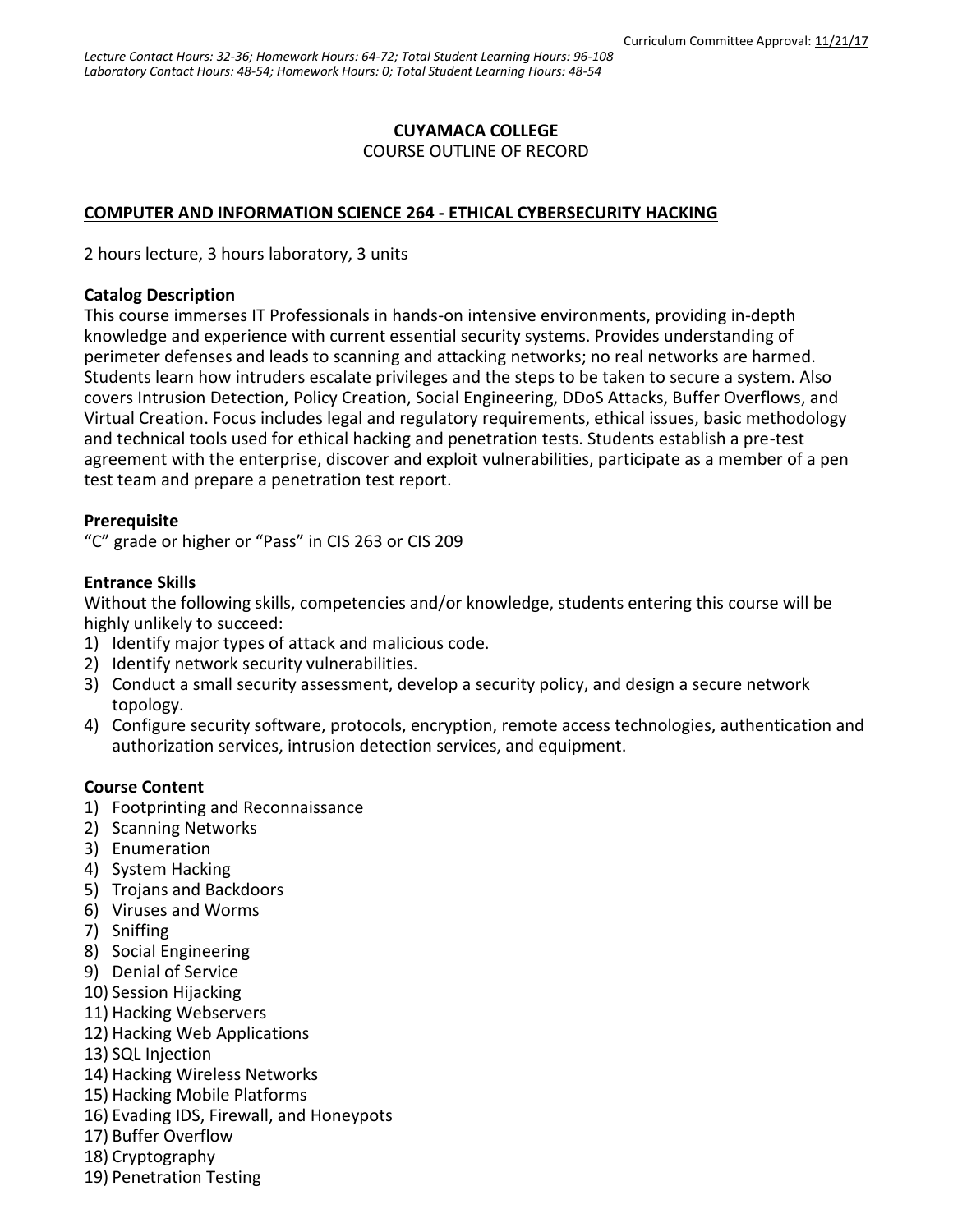## **CUYAMACA COLLEGE**

COURSE OUTLINE OF RECORD

### **COMPUTER AND INFORMATION SCIENCE 264 - ETHICAL CYBERSECURITY HACKING**

2 hours lecture, 3 hours laboratory, 3 units

#### **Catalog Description**

This course immerses IT Professionals in hands-on intensive environments, providing in-depth knowledge and experience with current essential security systems. Provides understanding of perimeter defenses and leads to scanning and attacking networks; no real networks are harmed. Students learn how intruders escalate privileges and the steps to be taken to secure a system. Also covers Intrusion Detection, Policy Creation, Social Engineering, DDoS Attacks, Buffer Overflows, and Virtual Creation. Focus includes legal and regulatory requirements, ethical issues, basic methodology and technical tools used for ethical hacking and penetration tests. Students establish a pre-test agreement with the enterprise, discover and exploit vulnerabilities, participate as a member of a pen test team and prepare a penetration test report.

### **Prerequisite**

"C" grade or higher or "Pass" in CIS 263 or CIS 209

### **Entrance Skills**

Without the following skills, competencies and/or knowledge, students entering this course will be highly unlikely to succeed:

- 1) Identify major types of attack and malicious code.
- 2) Identify network security vulnerabilities.
- 3) Conduct a small security assessment, develop a security policy, and design a secure network topology.
- 4) Configure security software, protocols, encryption, remote access technologies, authentication and authorization services, intrusion detection services, and equipment.

### **Course Content**

- 1) Footprinting and Reconnaissance
- 2) Scanning Networks
- 3) Enumeration
- 4) System Hacking
- 5) Trojans and Backdoors
- 6) Viruses and Worms
- 7) Sniffing
- 8) Social Engineering
- 9) Denial of Service
- 10) Session Hijacking
- 11) Hacking Webservers
- 12) Hacking Web Applications
- 13) SQL Injection
- 14) Hacking Wireless Networks
- 15) Hacking Mobile Platforms
- 16) Evading IDS, Firewall, and Honeypots
- 17) Buffer Overflow
- 18) Cryptography
- 19) Penetration Testing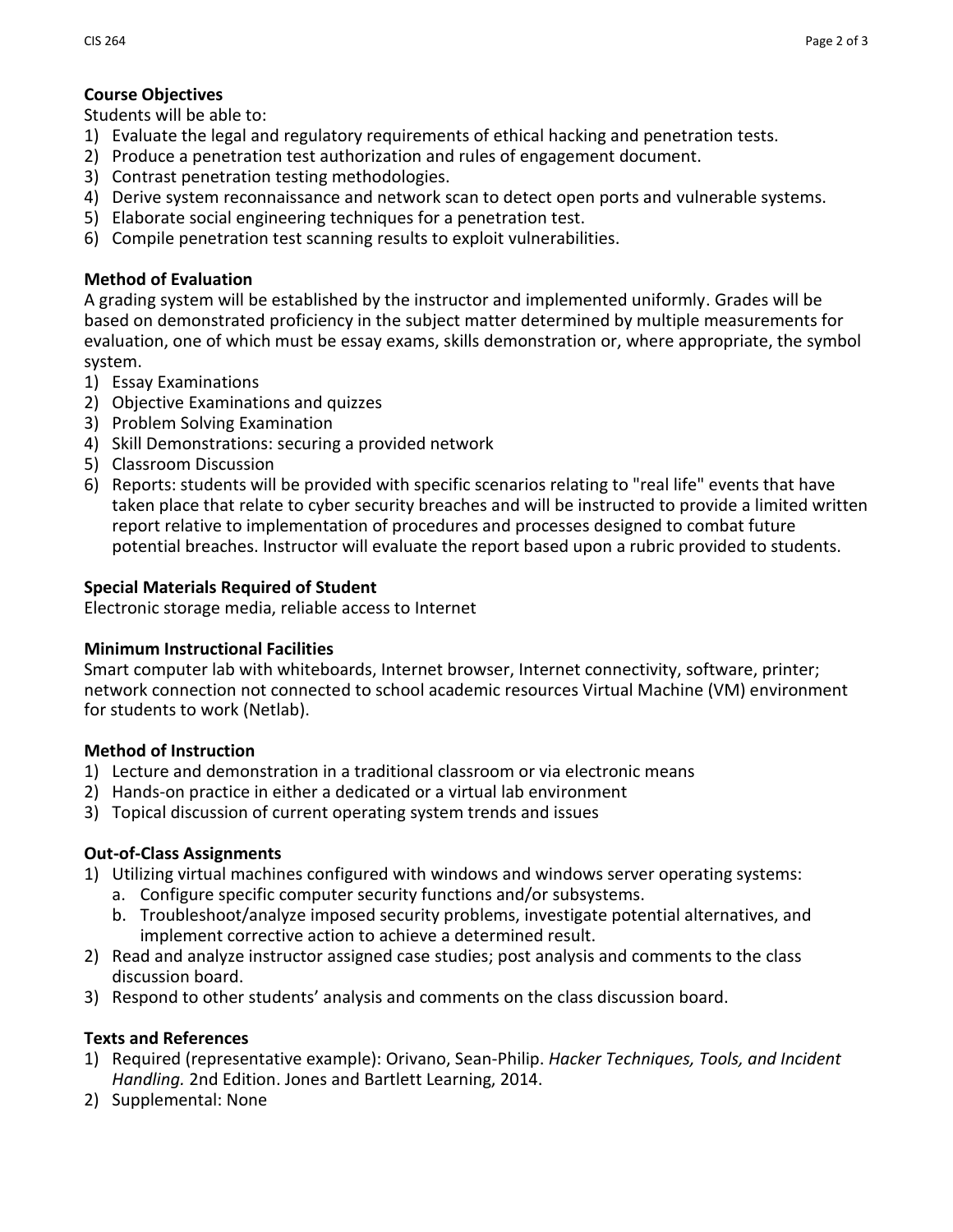# **Course Objectives**

Students will be able to:

- 1) Evaluate the legal and regulatory requirements of ethical hacking and penetration tests.
- 2) Produce a penetration test authorization and rules of engagement document.
- 3) Contrast penetration testing methodologies.
- 4) Derive system reconnaissance and network scan to detect open ports and vulnerable systems.
- 5) Elaborate social engineering techniques for a penetration test.
- 6) Compile penetration test scanning results to exploit vulnerabilities.

# **Method of Evaluation**

A grading system will be established by the instructor and implemented uniformly. Grades will be based on demonstrated proficiency in the subject matter determined by multiple measurements for evaluation, one of which must be essay exams, skills demonstration or, where appropriate, the symbol system.

- 1) Essay Examinations
- 2) Objective Examinations and quizzes
- 3) Problem Solving Examination
- 4) Skill Demonstrations: securing a provided network
- 5) Classroom Discussion
- 6) Reports: students will be provided with specific scenarios relating to "real life" events that have taken place that relate to cyber security breaches and will be instructed to provide a limited written report relative to implementation of procedures and processes designed to combat future potential breaches. Instructor will evaluate the report based upon a rubric provided to students.

# **Special Materials Required of Student**

Electronic storage media, reliable access to Internet

## **Minimum Instructional Facilities**

Smart computer lab with whiteboards, Internet browser, Internet connectivity, software, printer; network connection not connected to school academic resources Virtual Machine (VM) environment for students to work (Netlab).

## **Method of Instruction**

- 1) Lecture and demonstration in a traditional classroom or via electronic means
- 2) Hands-on practice in either a dedicated or a virtual lab environment
- 3) Topical discussion of current operating system trends and issues

## **Out-of-Class Assignments**

- 1) Utilizing virtual machines configured with windows and windows server operating systems:
	- a. Configure specific computer security functions and/or subsystems.
	- b. Troubleshoot/analyze imposed security problems, investigate potential alternatives, and implement corrective action to achieve a determined result.
- 2) Read and analyze instructor assigned case studies; post analysis and comments to the class discussion board.
- 3) Respond to other students' analysis and comments on the class discussion board.

## **Texts and References**

- 1) Required (representative example): Orivano, Sean-Philip. *Hacker Techniques, Tools, and Incident Handling.* 2nd Edition. Jones and Bartlett Learning, 2014.
- 2) Supplemental: None